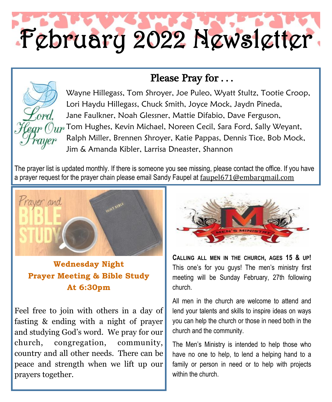# February 2022 Newsletter

## Please Pray for . . .



Wayne Hillegass, Tom Shroyer, Joe Puleo, Wyatt Stultz, Tootie Croop, Lori Haydu Hillegass, Chuck Smith, Joyce Mock, Jaydn Pineda, Jane Faulkner, Noah Glessner, Mattie Difabio, Dave Ferguson,  $T_{\text{HP}}$  Tom Hughes, Kevin Michael, Noreen Cecil, Sara Ford, Sally Weyant, Ralph Miller, Brennen Shroyer, Katie Pappas, Dennis Tice, Bob Mock, Jim & Amanda Kibler, Larrisa Dneaster, Shannon

The prayer list is updated monthly. If there is someone you see missing, please contact the office. If you have a prayer request for the prayer chain please email Sandy Faupel at faupel671@embarqmail.com



**Wednesday Night Prayer Meeting & Bible Study At 6:30pm** 

Feel free to join with others in a day of fasting & ending with a night of prayer and studying God's word. We pray for our church, congregation, community, country and all other needs.There can be peace and strength when we lift up our prayers together.



**CALLING ALL MEN IN THE CHURCH, AGES 15 & UP!**  This one's for you guys! The men's ministry first meeting will be Sunday February, 27th following church.

All men in the church are welcome to attend and lend your talents and skills to inspire ideas on ways you can help the church or those in need both in the church and the community.

The Men's Ministry is intended to help those who have no one to help, to lend a helping hand to a family or person in need or to help with projects within the church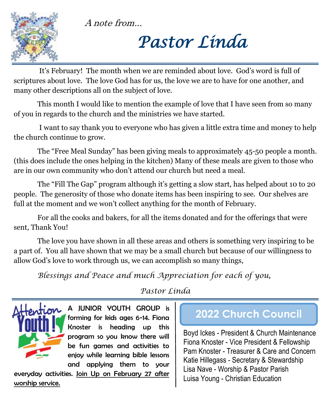A note from...



*Pastor Linda* 

 It's February! The month when we are reminded about love. God's word is full of scriptures about love. The love God has for us, the love we are to have for one another, and many other descriptions all on the subject of love.

 This month I would like to mention the example of love that I have seen from so many of you in regards to the church and the ministries we have started.

 I want to say thank you to everyone who has given a little extra time and money to help the church continue to grow.

The "Free Meal Sunday" has been giving meals to approximately 45-50 people a month. (this does include the ones helping in the kitchen) Many of these meals are given to those who are in our own community who don't attend our church but need a meal.

The "Fill The Gap" program although it's getting a slow start, has helped about 10 to 20 people. The generosity of those who donate items has been inspiring to see. Our shelves are full at the moment and we won't collect anything for the month of February.

For all the cooks and bakers, for all the items donated and for the offerings that were sent, Thank You!

The love you have shown in all these areas and others is something very inspiring to be a part of. You all have shown that we may be a small church but because of our willingness to allow God's love to work through us, we can accomplish so many things,

*Blessings and Peace and much Appreciation for each of you,*

*Pastor Linda*



A JUNIOR YOUTH GROUP is forming for kids ages 6-14. Fiona Knoster is heading up this program so you know there will be fun games and activities to enjoy while learning bible lessons and applying them to your

everyday activities. Join Up on February 27 after worship service.

# **2022 Church Council**

Boyd Ickes - President & Church Maintenance Fiona Knoster - Vice President & Fellowship Pam Knoster - Treasurer & Care and Concern Katie Hillegass - Secretary & Stewardship Lisa Nave - Worship & Pastor Parish Luisa Young - Christian Education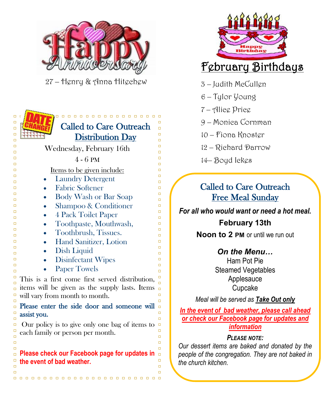

27 – Henry & Anna Hitechew





- 3 Judith McCullen
- 6 Tylor Young
- 7 Alice Price
- 9 Monica Cornman
- 10 Fiona Knoster
- 12 Richard Darrow
- 14– Boyd Ickes

## Called to Care Outreach Free Meal Sunday

*For all who would want or need a hot meal.*

## **February 13th**

**Noon to 2 PM** or until we run out

## *On the Menu…*

Ham Pot Pie Steamed Vegetables Applesauce Cupcake

*Meal will be served as Take Out only* 

*In the event of bad weather, please call ahead or check our Facebook page for updates and information*

#### *PLEASE NOTE:*

*Our dessert items are baked and donated by the people of the congregation. They are not baked in the church kitchen.*